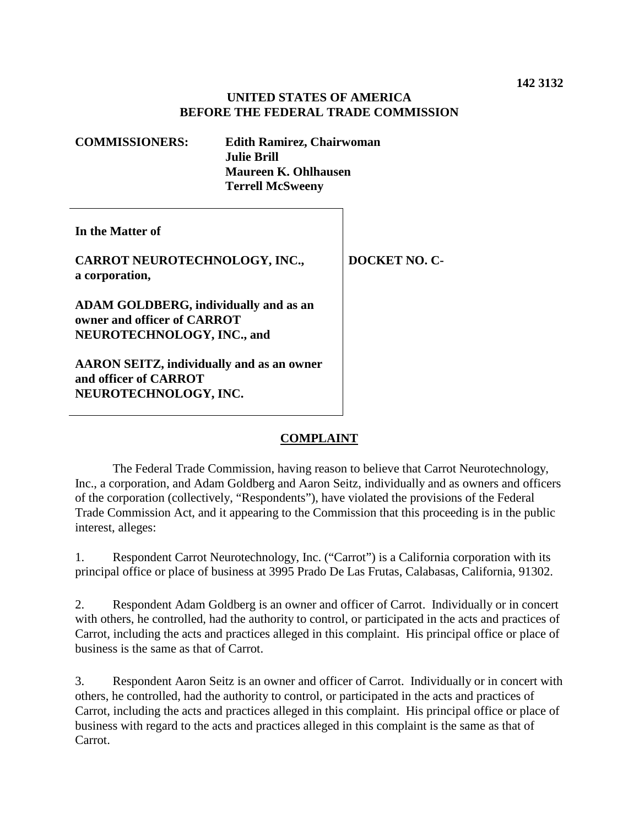## **UNITED STATES OF AMERICA BEFORE THE FEDERAL TRADE COMMISSION**

| <b>COMMISSIONERS:</b>                                                                                     | <b>Edith Ramirez, Chairwoman</b><br><b>Julie Brill</b><br>Maureen K. Ohlhausen |               |
|-----------------------------------------------------------------------------------------------------------|--------------------------------------------------------------------------------|---------------|
|                                                                                                           |                                                                                |               |
|                                                                                                           | <b>Terrell McSweeny</b>                                                        |               |
| In the Matter of                                                                                          |                                                                                |               |
| CARROT NEUROTECHNOLOGY, INC.,<br>a corporation,                                                           |                                                                                | DOCKET NO. C- |
| <b>ADAM GOLDBERG, individually and as an</b><br>owner and officer of CARROT<br>NEUROTECHNOLOGY, INC., and |                                                                                |               |
| <b>AARON SEITZ, individually and as an owner</b><br>and officer of CARROT                                 |                                                                                |               |

**NEUROTECHNOLOGY, INC.**

# **COMPLAINT**

The Federal Trade Commission, having reason to believe that Carrot Neurotechnology, Inc., a corporation, and Adam Goldberg and Aaron Seitz, individually and as owners and officers of the corporation (collectively, "Respondents"), have violated the provisions of the Federal Trade Commission Act, and it appearing to the Commission that this proceeding is in the public interest, alleges:

1. Respondent Carrot Neurotechnology, Inc. ("Carrot") is a California corporation with its principal office or place of business at 3995 Prado De Las Frutas, Calabasas, California, 91302.

2. Respondent Adam Goldberg is an owner and officer of Carrot. Individually or in concert with others, he controlled, had the authority to control, or participated in the acts and practices of Carrot, including the acts and practices alleged in this complaint. His principal office or place of business is the same as that of Carrot.

3. Respondent Aaron Seitz is an owner and officer of Carrot. Individually or in concert with others, he controlled, had the authority to control, or participated in the acts and practices of Carrot, including the acts and practices alleged in this complaint. His principal office or place of business with regard to the acts and practices alleged in this complaint is the same as that of Carrot.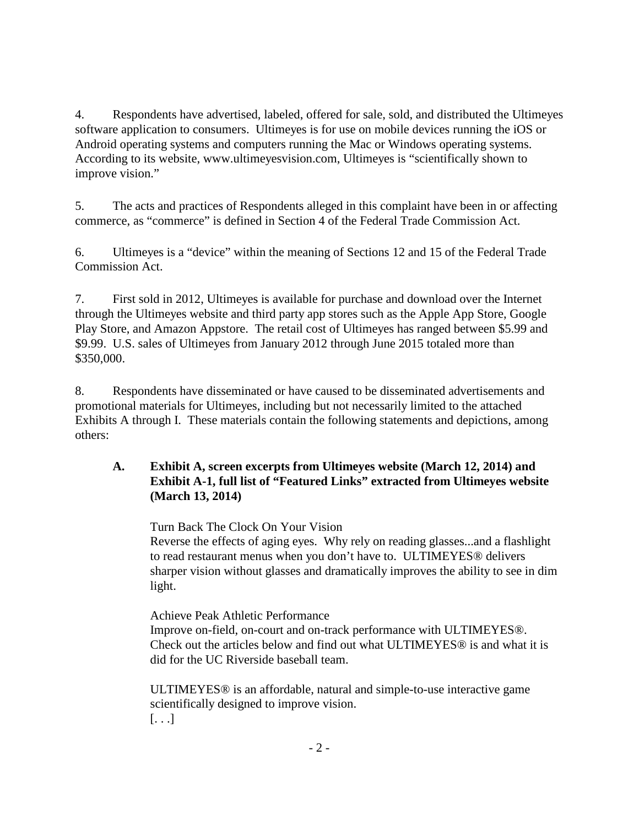4. Respondents have advertised, labeled, offered for sale, sold, and distributed the Ultimeyes software application to consumers. Ultimeyes is for use on mobile devices running the iOS or Android operating systems and computers running the Mac or Windows operating systems. According to its website, www.ultimeyesvision.com, Ultimeyes is "scientifically shown to improve vision."

5. The acts and practices of Respondents alleged in this complaint have been in or affecting commerce, as "commerce" is defined in Section 4 of the Federal Trade Commission Act.

6. Ultimeyes is a "device" within the meaning of Sections 12 and 15 of the Federal Trade Commission Act.

7. First sold in 2012, Ultimeyes is available for purchase and download over the Internet through the Ultimeyes website and third party app stores such as the Apple App Store, Google Play Store, and Amazon Appstore. The retail cost of Ultimeyes has ranged between \$5.99 and \$9.99. U.S. sales of Ultimeyes from January 2012 through June 2015 totaled more than \$350,000.

8. Respondents have disseminated or have caused to be disseminated advertisements and promotional materials for Ultimeyes, including but not necessarily limited to the attached Exhibits A through I. These materials contain the following statements and depictions, among others:

## **A. Exhibit A, screen excerpts from Ultimeyes website (March 12, 2014) and Exhibit A-1, full list of "Featured Links" extracted from Ultimeyes website (March 13, 2014)**

Turn Back The Clock On Your Vision

Reverse the effects of aging eyes. Why rely on reading glasses...and a flashlight to read restaurant menus when you don't have to. ULTIMEYES® delivers sharper vision without glasses and dramatically improves the ability to see in dim light.

Achieve Peak Athletic Performance Improve on-field, on-court and on-track performance with ULTIMEYES®. Check out the articles below and find out what ULTIMEYES® is and what it is did for the UC Riverside baseball team.

ULTIMEYES® is an affordable, natural and simple-to-use interactive game scientifically designed to improve vision.  $[...]$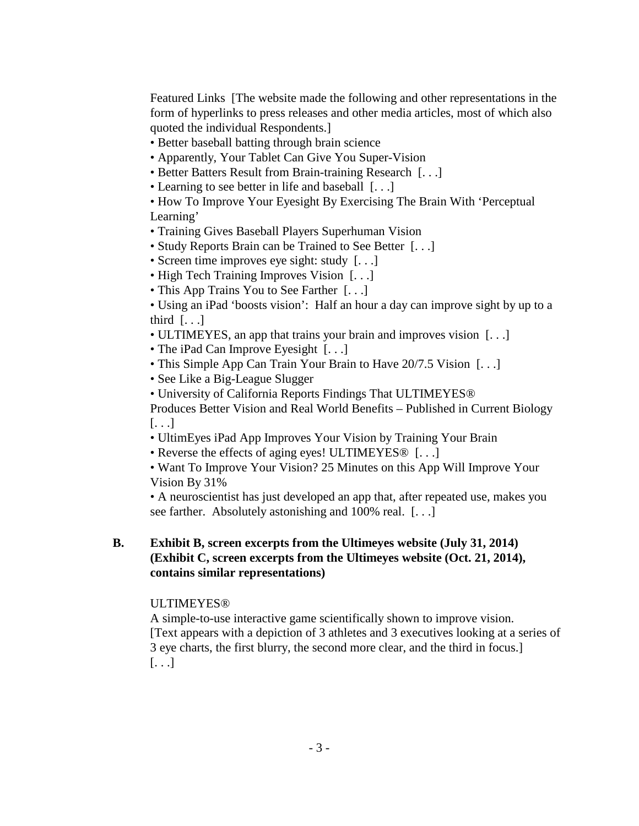Featured Links [The website made the following and other representations in the form of hyperlinks to press releases and other media articles, most of which also quoted the individual Respondents.]

- Better baseball batting through brain science
- Apparently, Your Tablet Can Give You Super-Vision
- Better Batters Result from Brain-training Research [. . .]
- Learning to see better in life and baseball [...]
- How To Improve Your Eyesight By Exercising The Brain With 'Perceptual Learning'
- Training Gives Baseball Players Superhuman Vision
- Study Reports Brain can be Trained to See Better [. . .]
- Screen time improves eye sight: study [...]
- High Tech Training Improves Vision [...]
- This App Trains You to See Farther [...]

• Using an iPad 'boosts vision': Half an hour a day can improve sight by up to a third  $[\ldots]$ 

- ULTIMEYES, an app that trains your brain and improves vision [. . .]
- The iPad Can Improve Eyesight [...]
- This Simple App Can Train Your Brain to Have 20/7.5 Vision [...]
- See Like a Big-League Slugger
- University of California Reports Findings That ULTIMEYES®

Produces Better Vision and Real World Benefits – Published in Current Biology [. . .]

- UltimEyes iPad App Improves Your Vision by Training Your Brain
- Reverse the effects of aging eyes! ULTIMEYES<sup>®</sup> [...]
- Want To Improve Your Vision? 25 Minutes on this App Will Improve Your Vision By 31%

• A neuroscientist has just developed an app that, after repeated use, makes you see farther. Absolutely astonishing and 100% real. [. . .]

#### **B. Exhibit B, screen excerpts from the Ultimeyes website (July 31, 2014) (Exhibit C, screen excerpts from the Ultimeyes website (Oct. 21, 2014), contains similar representations)**

#### **ULTIMEYES®**

A simple-to-use interactive game scientifically shown to improve vision. [Text appears with a depiction of 3 athletes and 3 executives looking at a series of 3 eye charts, the first blurry, the second more clear, and the third in focus.]  $[...]$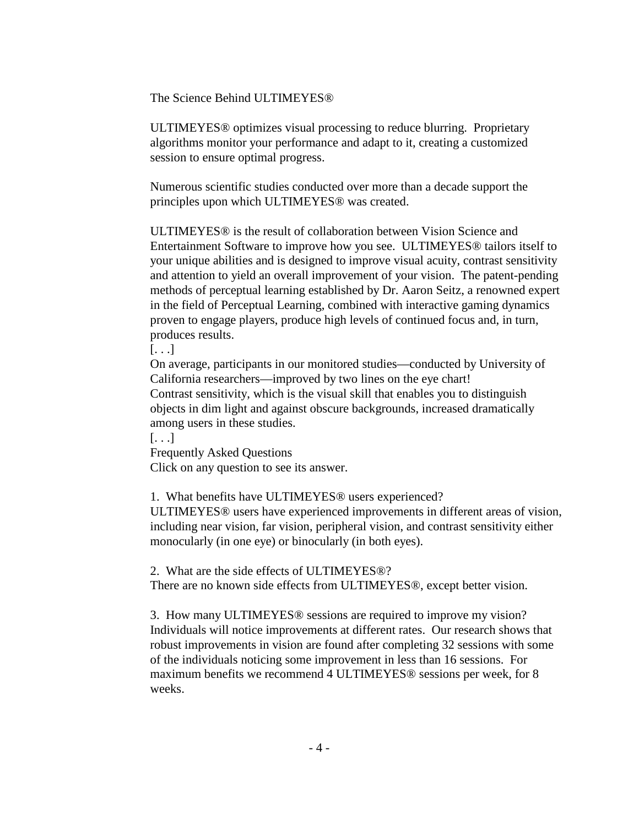The Science Behind ULTIMEYES®

ULTIMEYES® optimizes visual processing to reduce blurring. Proprietary algorithms monitor your performance and adapt to it, creating a customized session to ensure optimal progress.

Numerous scientific studies conducted over more than a decade support the principles upon which ULTIMEYES® was created.

ULTIMEYES® is the result of collaboration between Vision Science and Entertainment Software to improve how you see. ULTIMEYES® tailors itself to your unique abilities and is designed to improve visual acuity, contrast sensitivity and attention to yield an overall improvement of your vision. The patent-pending methods of perceptual learning established by Dr. Aaron Seitz, a renowned expert in the field of Perceptual Learning, combined with interactive gaming dynamics proven to engage players, produce high levels of continued focus and, in turn, produces results.

 $\left[ \ldots \right]$ 

On average, participants in our monitored studies—conducted by University of California researchers—improved by two lines on the eye chart! Contrast sensitivity, which is the visual skill that enables you to distinguish objects in dim light and against obscure backgrounds, increased dramatically among users in these studies.

 $[...]$ 

Frequently Asked Questions Click on any question to see its answer.

1. What benefits have ULTIMEYES® users experienced?

ULTIMEYES® users have experienced improvements in different areas of vision, including near vision, far vision, peripheral vision, and contrast sensitivity either monocularly (in one eye) or binocularly (in both eyes).

2. What are the side effects of ULTIMEYES®?

There are no known side effects from ULTIMEYES®, except better vision.

3. How many ULTIMEYES® sessions are required to improve my vision? Individuals will notice improvements at different rates. Our research shows that robust improvements in vision are found after completing 32 sessions with some of the individuals noticing some improvement in less than 16 sessions. For maximum benefits we recommend 4 ULTIMEYES® sessions per week, for 8 weeks.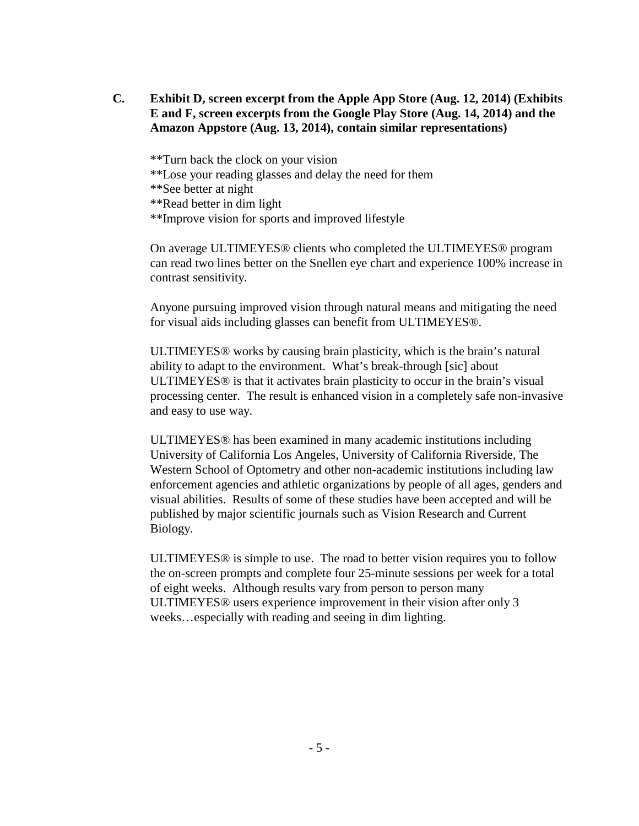- **C. Exhibit D, screen excerpt from the Apple App Store (Aug. 12, 2014) (Exhibits E and F, screen excerpts from the Google Play Store (Aug. 14, 2014) and the Amazon Appstore (Aug. 13, 2014), contain similar representations)**
	- \*\*Turn back the clock on your vision
	- \*\*Lose your reading glasses and delay the need for them
	- \*\*See better at night
	- \*\*Read better in dim light
	- \*\*Improve vision for sports and improved lifestyle

On average ULTIMEYES® clients who completed the ULTIMEYES® program can read two lines better on the Snellen eye chart and experience 100% increase in contrast sensitivity.

Anyone pursuing improved vision through natural means and mitigating the need for visual aids including glasses can benefit from ULTIMEYES®.

ULTIMEYES® works by causing brain plasticity, which is the brain's natural ability to adapt to the environment. What's break-through [sic] about ULTIMEYES® is that it activates brain plasticity to occur in the brain's visual processing center. The result is enhanced vision in a completely safe non-invasive and easy to use way.

ULTIMEYES® has been examined in many academic institutions including University of California Los Angeles, University of California Riverside, The Western School of Optometry and other non-academic institutions including law enforcement agencies and athletic organizations by people of all ages, genders and visual abilities. Results of some of these studies have been accepted and will be published by major scientific journals such as Vision Research and Current Biology.

ULTIMEYES® is simple to use. The road to better vision requires you to follow the on-screen prompts and complete four 25-minute sessions per week for a total of eight weeks. Although results vary from person to person many ULTIMEYES® users experience improvement in their vision after only 3 weeks…especially with reading and seeing in dim lighting.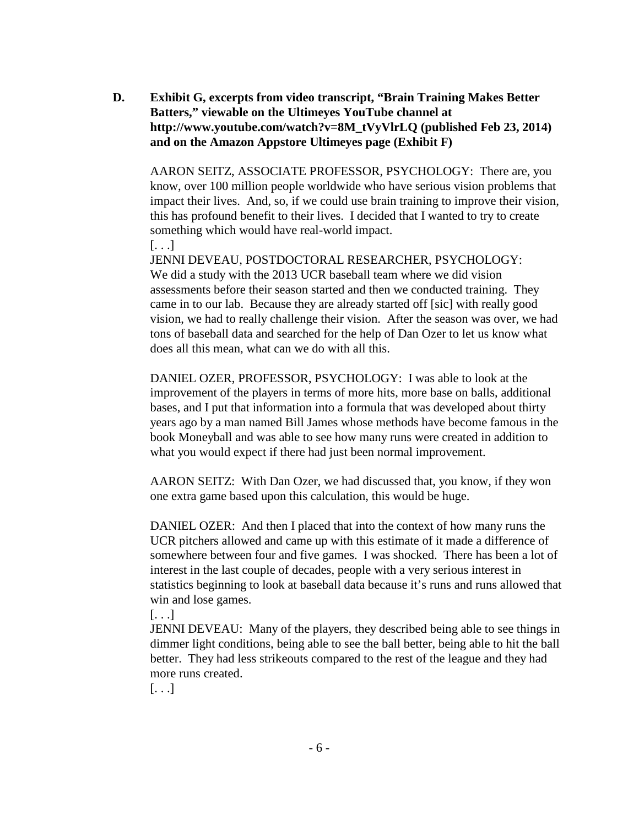**D. Exhibit G, excerpts from video transcript, "Brain Training Makes Better Batters," viewable on the Ultimeyes YouTube channel at http://www.youtube.com/watch?v=8M\_tVyVlrLQ (published Feb 23, 2014) and on the Amazon Appstore Ultimeyes page (Exhibit F)**

AARON SEITZ, ASSOCIATE PROFESSOR, PSYCHOLOGY: There are, you know, over 100 million people worldwide who have serious vision problems that impact their lives. And, so, if we could use brain training to improve their vision, this has profound benefit to their lives. I decided that I wanted to try to create something which would have real-world impact.

 $\left[\ldots\right]$ 

JENNI DEVEAU, POSTDOCTORAL RESEARCHER, PSYCHOLOGY: We did a study with the 2013 UCR baseball team where we did vision assessments before their season started and then we conducted training. They came in to our lab. Because they are already started off [sic] with really good vision, we had to really challenge their vision. After the season was over, we had tons of baseball data and searched for the help of Dan Ozer to let us know what does all this mean, what can we do with all this.

DANIEL OZER, PROFESSOR, PSYCHOLOGY: I was able to look at the improvement of the players in terms of more hits, more base on balls, additional bases, and I put that information into a formula that was developed about thirty years ago by a man named Bill James whose methods have become famous in the book Moneyball and was able to see how many runs were created in addition to what you would expect if there had just been normal improvement.

AARON SEITZ: With Dan Ozer, we had discussed that, you know, if they won one extra game based upon this calculation, this would be huge.

DANIEL OZER: And then I placed that into the context of how many runs the UCR pitchers allowed and came up with this estimate of it made a difference of somewhere between four and five games. I was shocked. There has been a lot of interest in the last couple of decades, people with a very serious interest in statistics beginning to look at baseball data because it's runs and runs allowed that win and lose games.

 $[\ldots]$ 

JENNI DEVEAU: Many of the players, they described being able to see things in dimmer light conditions, being able to see the ball better, being able to hit the ball better. They had less strikeouts compared to the rest of the league and they had more runs created.

[. . .]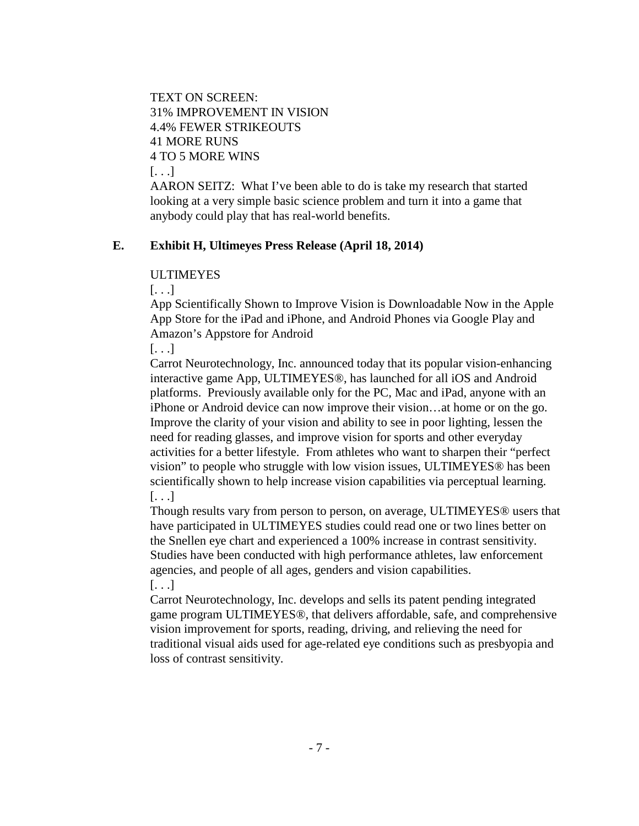TEXT ON SCREEN: 31% IMPROVEMENT IN VISION 4.4% FEWER STRIKEOUTS 41 MORE RUNS 4 TO 5 MORE WINS [. . .]

AARON SEITZ: What I've been able to do is take my research that started looking at a very simple basic science problem and turn it into a game that anybody could play that has real-world benefits.

#### **E. Exhibit H, Ultimeyes Press Release (April 18, 2014)**

#### ULTIMEYES

[. . .]

App Scientifically Shown to Improve Vision is Downloadable Now in the Apple App Store for the iPad and iPhone, and Android Phones via Google Play and Amazon's Appstore for Android

 $\left[ \ldots \right]$ 

Carrot Neurotechnology, Inc. announced today that its popular vision-enhancing interactive game App, ULTIMEYES®, has launched for all iOS and Android platforms. Previously available only for the PC, Mac and iPad, anyone with an iPhone or Android device can now improve their vision…at home or on the go. Improve the clarity of your vision and ability to see in poor lighting, lessen the need for reading glasses, and improve vision for sports and other everyday activities for a better lifestyle. From athletes who want to sharpen their "perfect vision" to people who struggle with low vision issues, ULTIMEYES® has been scientifically shown to help increase vision capabilities via perceptual learning.  $\left[\ldots\right]$ 

Though results vary from person to person, on average, ULTIMEYES® users that have participated in ULTIMEYES studies could read one or two lines better on the Snellen eye chart and experienced a 100% increase in contrast sensitivity. Studies have been conducted with high performance athletes, law enforcement agencies, and people of all ages, genders and vision capabilities.  $[\ldots]$ 

Carrot Neurotechnology, Inc. develops and sells its patent pending integrated game program ULTIMEYES®, that delivers affordable, safe, and comprehensive vision improvement for sports, reading, driving, and relieving the need for traditional visual aids used for age-related eye conditions such as presbyopia and loss of contrast sensitivity.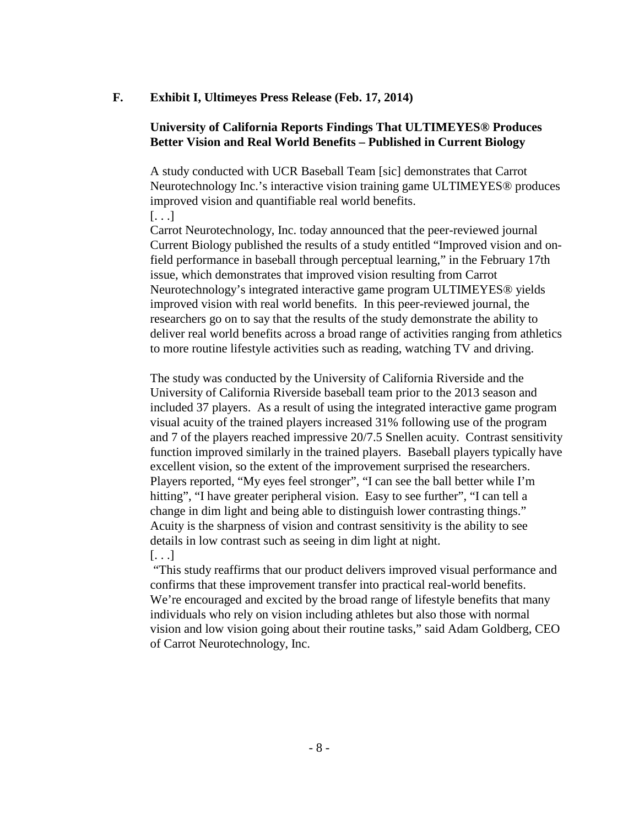#### **F. Exhibit I, Ultimeyes Press Release (Feb. 17, 2014)**

#### **University of California Reports Findings That ULTIMEYES® Produces Better Vision and Real World Benefits – Published in Current Biology**

A study conducted with UCR Baseball Team [sic] demonstrates that Carrot Neurotechnology Inc.'s interactive vision training game ULTIMEYES® produces improved vision and quantifiable real world benefits.

 $\left[ \ldots \right]$ 

Carrot Neurotechnology, Inc. today announced that the peer-reviewed journal Current Biology published the results of a study entitled "Improved vision and onfield performance in baseball through perceptual learning," in the February 17th issue, which demonstrates that improved vision resulting from Carrot Neurotechnology's integrated interactive game program ULTIMEYES® yields improved vision with real world benefits. In this peer-reviewed journal, the researchers go on to say that the results of the study demonstrate the ability to deliver real world benefits across a broad range of activities ranging from athletics to more routine lifestyle activities such as reading, watching TV and driving.

The study was conducted by the University of California Riverside and the University of California Riverside baseball team prior to the 2013 season and included 37 players. As a result of using the integrated interactive game program visual acuity of the trained players increased 31% following use of the program and 7 of the players reached impressive 20/7.5 Snellen acuity. Contrast sensitivity function improved similarly in the trained players. Baseball players typically have excellent vision, so the extent of the improvement surprised the researchers. Players reported, "My eyes feel stronger", "I can see the ball better while I'm hitting", "I have greater peripheral vision. Easy to see further", "I can tell a change in dim light and being able to distinguish lower contrasting things." Acuity is the sharpness of vision and contrast sensitivity is the ability to see details in low contrast such as seeing in dim light at night.

[. . .]

"This study reaffirms that our product delivers improved visual performance and confirms that these improvement transfer into practical real-world benefits. We're encouraged and excited by the broad range of lifestyle benefits that many individuals who rely on vision including athletes but also those with normal vision and low vision going about their routine tasks," said Adam Goldberg, CEO of Carrot Neurotechnology, Inc.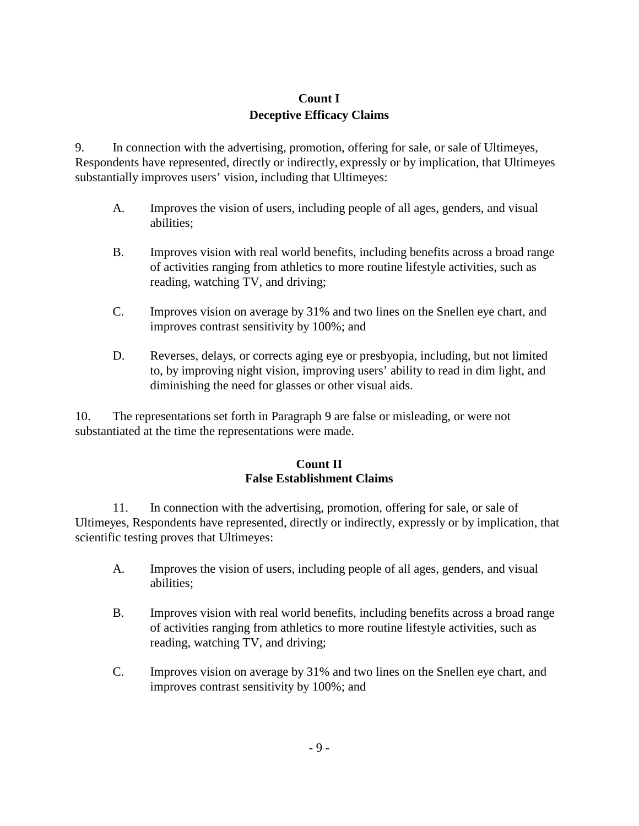## **Count I Deceptive Efficacy Claims**

9. In connection with the advertising, promotion, offering for sale, or sale of Ultimeyes, Respondents have represented, directly or indirectly, expressly or by implication, that Ultimeyes substantially improves users' vision, including that Ultimeyes:

- A. Improves the vision of users, including people of all ages, genders, and visual abilities;
- B. Improves vision with real world benefits, including benefits across a broad range of activities ranging from athletics to more routine lifestyle activities, such as reading, watching TV, and driving;
- C. Improves vision on average by 31% and two lines on the Snellen eye chart, and improves contrast sensitivity by 100%; and
- D. Reverses, delays, or corrects aging eye or presbyopia, including, but not limited to, by improving night vision, improving users' ability to read in dim light, and diminishing the need for glasses or other visual aids.

10. The representations set forth in Paragraph 9 are false or misleading, or were not substantiated at the time the representations were made.

## **Count II False Establishment Claims**

11. In connection with the advertising, promotion, offering for sale, or sale of Ultimeyes, Respondents have represented, directly or indirectly, expressly or by implication, that scientific testing proves that Ultimeyes:

- A. Improves the vision of users, including people of all ages, genders, and visual abilities;
- B. Improves vision with real world benefits, including benefits across a broad range of activities ranging from athletics to more routine lifestyle activities, such as reading, watching TV, and driving;
- C. Improves vision on average by 31% and two lines on the Snellen eye chart, and improves contrast sensitivity by 100%; and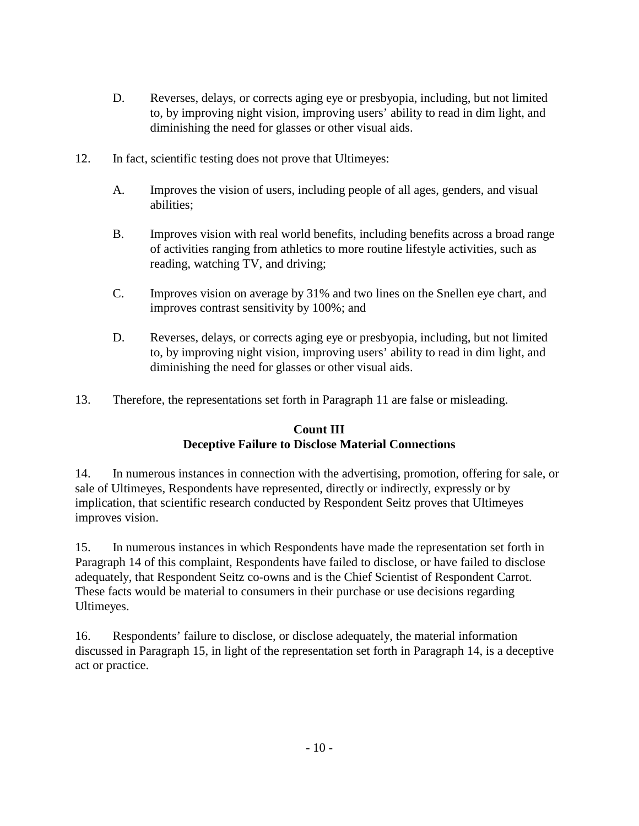- D. Reverses, delays, or corrects aging eye or presbyopia, including, but not limited to, by improving night vision, improving users' ability to read in dim light, and diminishing the need for glasses or other visual aids.
- 12. In fact, scientific testing does not prove that Ultimeyes:
	- A. Improves the vision of users, including people of all ages, genders, and visual abilities;
	- B. Improves vision with real world benefits, including benefits across a broad range of activities ranging from athletics to more routine lifestyle activities, such as reading, watching TV, and driving;
	- C. Improves vision on average by 31% and two lines on the Snellen eye chart, and improves contrast sensitivity by 100%; and
	- D. Reverses, delays, or corrects aging eye or presbyopia, including, but not limited to, by improving night vision, improving users' ability to read in dim light, and diminishing the need for glasses or other visual aids.
- 13. Therefore, the representations set forth in Paragraph 11 are false or misleading.

## **Count III Deceptive Failure to Disclose Material Connections**

14. In numerous instances in connection with the advertising, promotion, offering for sale, or sale of Ultimeyes, Respondents have represented, directly or indirectly, expressly or by implication, that scientific research conducted by Respondent Seitz proves that Ultimeyes improves vision.

15. In numerous instances in which Respondents have made the representation set forth in Paragraph 14 of this complaint, Respondents have failed to disclose, or have failed to disclose adequately, that Respondent Seitz co-owns and is the Chief Scientist of Respondent Carrot. These facts would be material to consumers in their purchase or use decisions regarding Ultimeyes.

16. Respondents' failure to disclose, or disclose adequately, the material information discussed in Paragraph 15, in light of the representation set forth in Paragraph 14, is a deceptive act or practice.